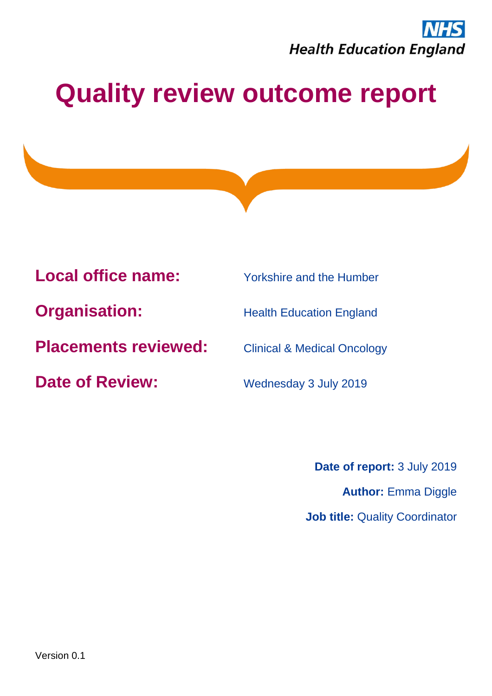

# **Quality review outcome report**

**Local office name:** Yorkshire and the Humber

**Organisation:** Health Education England

**Placements reviewed:** Clinical & Medical Oncology

**Date of Review:** Wednesday 3 July 2019

**Date of report:** 3 July 2019 **Author:** Emma Diggle **Job title: Quality Coordinator**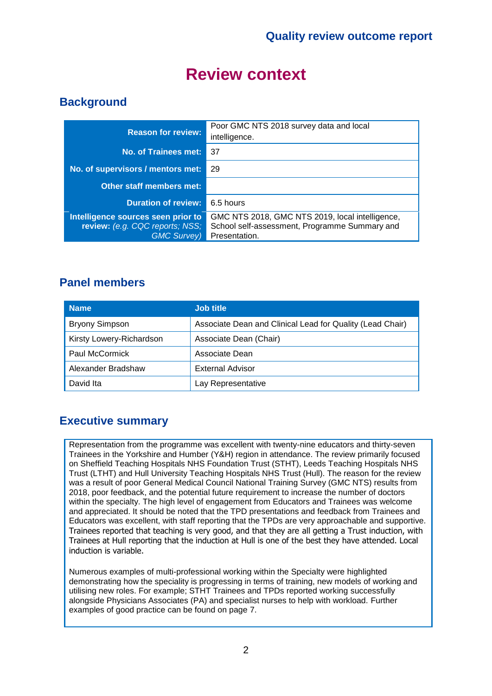## **Review context**

### **Background**

| <b>Reason for review:</b>                                                                    | Poor GMC NTS 2018 survey data and local<br>intelligence.                                                          |
|----------------------------------------------------------------------------------------------|-------------------------------------------------------------------------------------------------------------------|
| <b>No. of Trainees met:</b>                                                                  | -37                                                                                                               |
| No. of supervisors / mentors met:                                                            | 29                                                                                                                |
| Other staff members met:                                                                     |                                                                                                                   |
| <b>Duration of review:</b>                                                                   | 6.5 hours                                                                                                         |
| Intelligence sources seen prior to<br>review: (e.g. CQC reports; NSS;<br><b>GMC Survey</b> ) | GMC NTS 2018, GMC NTS 2019, local intelligence,<br>School self-assessment, Programme Summary and<br>Presentation. |

#### **Panel members**

| <b>Name</b>              | <b>Job title</b>                                          |
|--------------------------|-----------------------------------------------------------|
| <b>Bryony Simpson</b>    | Associate Dean and Clinical Lead for Quality (Lead Chair) |
| Kirsty Lowery-Richardson | Associate Dean (Chair)                                    |
| <b>Paul McCormick</b>    | Associate Dean                                            |
| Alexander Bradshaw       | <b>External Advisor</b>                                   |
| David Ita                | Lay Representative                                        |

#### **Executive summary**

Representation from the programme was excellent with twenty-nine educators and thirty-seven Trainees in the Yorkshire and Humber (Y&H) region in attendance. The review primarily focused on Sheffield Teaching Hospitals NHS Foundation Trust (STHT), Leeds Teaching Hospitals NHS Trust (LTHT) and Hull University Teaching Hospitals NHS Trust (Hull). The reason for the review was a result of poor General Medical Council National Training Survey (GMC NTS) results from 2018, poor feedback, and the potential future requirement to increase the number of doctors within the specialty. The high level of engagement from Educators and Trainees was welcome and appreciated. It should be noted that the TPD presentations and feedback from Trainees and Educators was excellent, with staff reporting that the TPDs are very approachable and supportive. Trainees reported that teaching is very good, and that they are all getting a Trust induction, with Trainees at Hull reporting that the induction at Hull is one of the best they have attended. Local induction is variable.

Numerous examples of multi-professional working within the Specialty were highlighted demonstrating how the speciality is progressing in terms of training, new models of working and utilising new roles. For example; STHT Trainees and TPDs reported working successfully alongside Physicians Associates (PA) and specialist nurses to help with workload. Further examples of good practice can be found on page 7.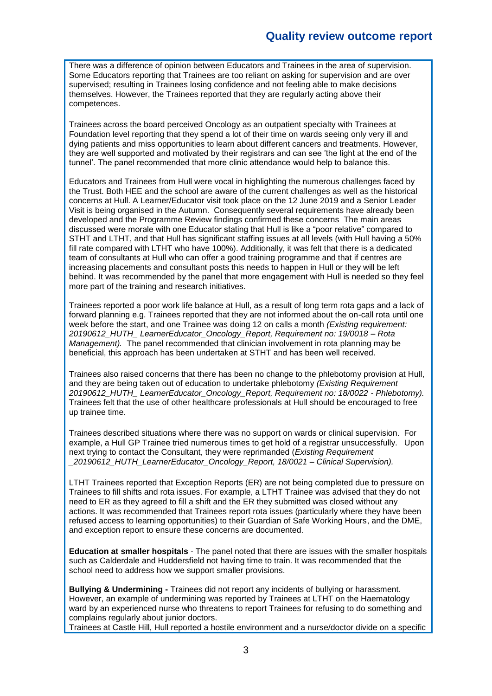There was a difference of opinion between Educators and Trainees in the area of supervision. Some Educators reporting that Trainees are too reliant on asking for supervision and are over supervised; resulting in Trainees losing confidence and not feeling able to make decisions themselves. However, the Trainees reported that they are regularly acting above their competences.

Trainees across the board perceived Oncology as an outpatient specialty with Trainees at Foundation level reporting that they spend a lot of their time on wards seeing only very ill and dying patients and miss opportunities to learn about different cancers and treatments. However, they are well supported and motivated by their registrars and can see 'the light at the end of the tunnel'. The panel recommended that more clinic attendance would help to balance this.

Educators and Trainees from Hull were vocal in highlighting the numerous challenges faced by the Trust. Both HEE and the school are aware of the current challenges as well as the historical concerns at Hull. A Learner/Educator visit took place on the 12 June 2019 and a Senior Leader Visit is being organised in the Autumn. Consequently several requirements have already been developed and the Programme Review findings confirmed these concerns The main areas discussed were morale with one Educator stating that Hull is like a "poor relative" compared to STHT and LTHT, and that Hull has significant staffing issues at all levels (with Hull having a 50% fill rate compared with LTHT who have 100%). Additionally, it was felt that there is a dedicated team of consultants at Hull who can offer a good training programme and that if centres are increasing placements and consultant posts this needs to happen in Hull or they will be left behind. It was recommended by the panel that more engagement with Hull is needed so they feel more part of the training and research initiatives.

Trainees reported a poor work life balance at Hull, as a result of long term rota gaps and a lack of forward planning e.g. Trainees reported that they are not informed about the on-call rota until one week before the start, and one Trainee was doing 12 on calls a month *(Existing requirement: 20190612\_HUTH\_ LearnerEducator\_Oncology\_Report, Requirement no: 19/0018 – Rota Management).* The panel recommended that clinician involvement in rota planning may be beneficial, this approach has been undertaken at STHT and has been well received.

Trainees also raised concerns that there has been no change to the phlebotomy provision at Hull, and they are being taken out of education to undertake phlebotomy *(Existing Requirement 20190612\_HUTH\_ LearnerEducator\_Oncology\_Report, Requirement no: 18/0022 - Phlebotomy).* Trainees felt that the use of other healthcare professionals at Hull should be encouraged to free up trainee time.

Trainees described situations where there was no support on wards or clinical supervision. For example, a Hull GP Trainee tried numerous times to get hold of a registrar unsuccessfully. Upon next trying to contact the Consultant, they were reprimanded (*Existing Requirement \_20190612\_HUTH\_LearnerEducator\_Oncology\_Report, 18/0021 – Clinical Supervision).*

LTHT Trainees reported that Exception Reports (ER) are not being completed due to pressure on Trainees to fill shifts and rota issues. For example, a LTHT Trainee was advised that they do not need to ER as they agreed to fill a shift and the ER they submitted was closed without any actions. It was recommended that Trainees report rota issues (particularly where they have been refused access to learning opportunities) to their Guardian of Safe Working Hours, and the DME, and exception report to ensure these concerns are documented.

**Education at smaller hospitals** - The panel noted that there are issues with the smaller hospitals such as Calderdale and Huddersfield not having time to train. It was recommended that the school need to address how we support smaller provisions.

**Bullying & Undermining -** Trainees did not report any incidents of bullying or harassment. However, an example of undermining was reported by Trainees at LTHT on the Haematology ward by an experienced nurse who threatens to report Trainees for refusing to do something and complains regularly about junior doctors.

Trainees at Castle Hill, Hull reported a hostile environment and a nurse/doctor divide on a specific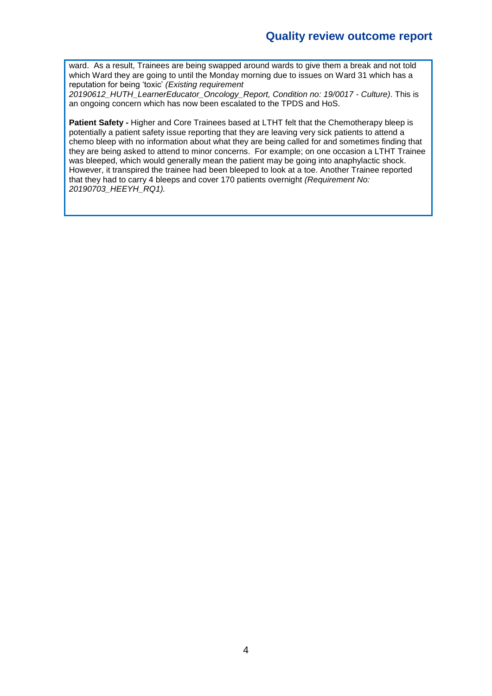ward. As a result, Trainees are being swapped around wards to give them a break and not told which Ward they are going to until the Monday morning due to issues on Ward 31 which has a reputation for being 'toxic' *(Existing requirement* 

*20190612\_HUTH\_LearnerEducator\_Oncology\_Report, Condition no: 19/0017 - Culture)*. This is an ongoing concern which has now been escalated to the TPDS and HoS.

**Patient Safety -** Higher and Core Trainees based at LTHT felt that the Chemotherapy bleep is potentially a patient safety issue reporting that they are leaving very sick patients to attend a chemo bleep with no information about what they are being called for and sometimes finding that they are being asked to attend to minor concerns. For example; on one occasion a LTHT Trainee was bleeped, which would generally mean the patient may be going into anaphylactic shock. However, it transpired the trainee had been bleeped to look at a toe. Another Trainee reported that they had to carry 4 bleeps and cover 170 patients overnight *(Requirement No: 20190703\_HEEYH\_RQ1).*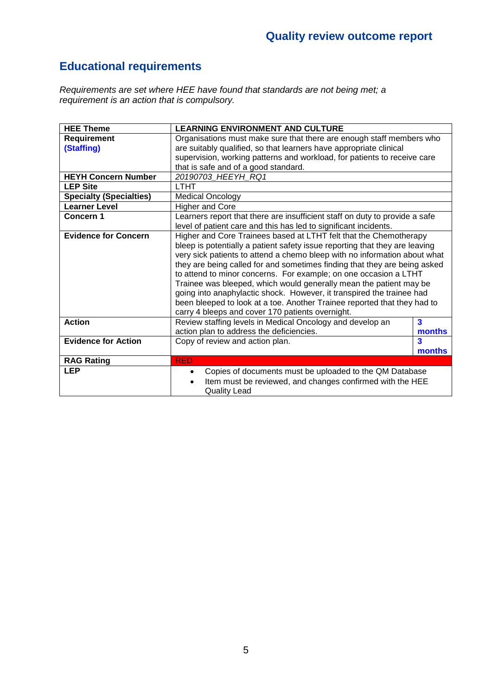### **Educational requirements**

*Requirements are set where HEE have found that standards are not being met; a requirement is an action that is compulsory.*

| <b>HEE Theme</b>               | <b>LEARNING ENVIRONMENT AND CULTURE</b>                                     |                         |  |  |
|--------------------------------|-----------------------------------------------------------------------------|-------------------------|--|--|
| <b>Requirement</b>             | Organisations must make sure that there are enough staff members who        |                         |  |  |
| (Staffing)                     | are suitably qualified, so that learners have appropriate clinical          |                         |  |  |
|                                | supervision, working patterns and workload, for patients to receive care    |                         |  |  |
|                                | that is safe and of a good standard.                                        |                         |  |  |
| <b>HEYH Concern Number</b>     | 20190703 HEEYH RQ1                                                          |                         |  |  |
| <b>LEP Site</b>                | <b>LTHT</b>                                                                 |                         |  |  |
| <b>Specialty (Specialties)</b> | <b>Medical Oncology</b>                                                     |                         |  |  |
| <b>Learner Level</b>           | <b>Higher and Core</b>                                                      |                         |  |  |
| <b>Concern 1</b>               | Learners report that there are insufficient staff on duty to provide a safe |                         |  |  |
|                                | level of patient care and this has led to significant incidents.            |                         |  |  |
| <b>Evidence for Concern</b>    | Higher and Core Trainees based at LTHT felt that the Chemotherapy           |                         |  |  |
|                                | bleep is potentially a patient safety issue reporting that they are leaving |                         |  |  |
|                                | very sick patients to attend a chemo bleep with no information about what   |                         |  |  |
|                                | they are being called for and sometimes finding that they are being asked   |                         |  |  |
|                                | to attend to minor concerns. For example; on one occasion a LTHT            |                         |  |  |
|                                | Trainee was bleeped, which would generally mean the patient may be          |                         |  |  |
|                                | going into anaphylactic shock. However, it transpired the trainee had       |                         |  |  |
|                                | been bleeped to look at a toe. Another Trainee reported that they had to    |                         |  |  |
|                                | carry 4 bleeps and cover 170 patients overnight.                            |                         |  |  |
| <b>Action</b>                  | Review staffing levels in Medical Oncology and develop an                   | $\overline{\mathbf{3}}$ |  |  |
|                                | action plan to address the deficiencies.                                    | months                  |  |  |
| <b>Evidence for Action</b>     | $\overline{\mathbf{3}}$<br>Copy of review and action plan.                  |                         |  |  |
|                                |                                                                             | months                  |  |  |
| <b>RAG Rating</b>              | <b>RED</b>                                                                  |                         |  |  |
| <b>LEP</b>                     | Copies of documents must be uploaded to the QM Database<br>٠                |                         |  |  |
|                                | Item must be reviewed, and changes confirmed with the HEE                   |                         |  |  |
|                                | <b>Quality Lead</b>                                                         |                         |  |  |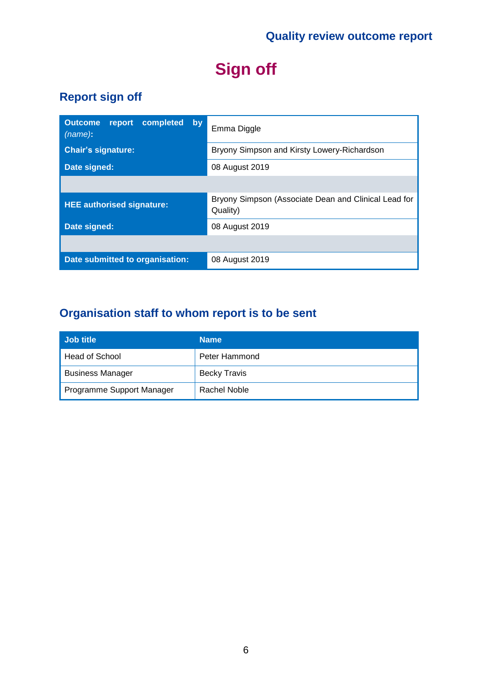## **Sign off**

## **Report sign off**

| completed<br><b>Outcome</b><br>report<br>by<br>$(name)$ : | Emma Diggle                                                      |  |  |
|-----------------------------------------------------------|------------------------------------------------------------------|--|--|
| <b>Chair's signature:</b>                                 | Bryony Simpson and Kirsty Lowery-Richardson                      |  |  |
| Date signed:                                              | 08 August 2019                                                   |  |  |
|                                                           |                                                                  |  |  |
| <b>HEE authorised signature:</b>                          | Bryony Simpson (Associate Dean and Clinical Lead for<br>Quality) |  |  |
| Date signed:                                              | 08 August 2019                                                   |  |  |
|                                                           |                                                                  |  |  |
| Date submitted to organisation:                           | 08 August 2019                                                   |  |  |

## **Organisation staff to whom report is to be sent**

| Job title                 | <b>Name</b>         |
|---------------------------|---------------------|
| Head of School            | Peter Hammond       |
| <b>Business Manager</b>   | <b>Becky Travis</b> |
| Programme Support Manager | Rachel Noble        |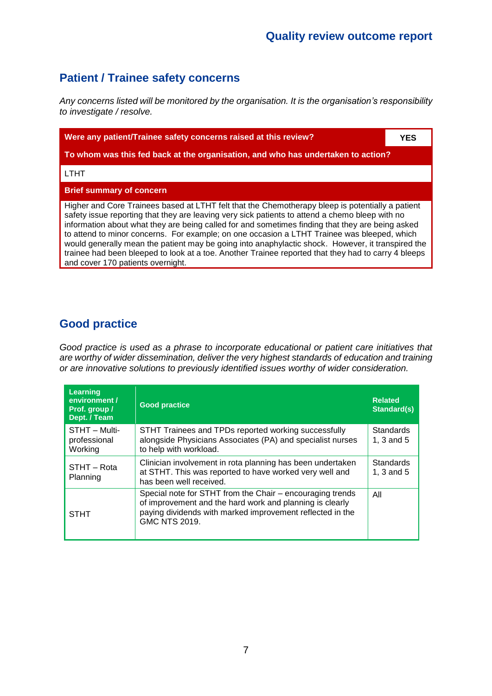### **Patient / Trainee safety concerns**

*Any concerns listed will be monitored by the organisation. It is the organisation's responsibility to investigate / resolve.*

| Were any patient/Trainee safety concerns raised at this review?                                                                                                                                                                                                                                                                                                                                                                                                                                                                                                                                                                                         |  |  |  |  |
|---------------------------------------------------------------------------------------------------------------------------------------------------------------------------------------------------------------------------------------------------------------------------------------------------------------------------------------------------------------------------------------------------------------------------------------------------------------------------------------------------------------------------------------------------------------------------------------------------------------------------------------------------------|--|--|--|--|
| To whom was this fed back at the organisation, and who has undertaken to action?                                                                                                                                                                                                                                                                                                                                                                                                                                                                                                                                                                        |  |  |  |  |
| <b>LTHT</b>                                                                                                                                                                                                                                                                                                                                                                                                                                                                                                                                                                                                                                             |  |  |  |  |
| <b>Brief summary of concern</b>                                                                                                                                                                                                                                                                                                                                                                                                                                                                                                                                                                                                                         |  |  |  |  |
| Higher and Core Trainees based at LTHT felt that the Chemotherapy bleep is potentially a patient<br>safety issue reporting that they are leaving very sick patients to attend a chemo bleep with no<br>information about what they are being called for and sometimes finding that they are being asked<br>to attend to minor concerns. For example; on one occasion a LTHT Trainee was bleeped, which<br>would generally mean the patient may be going into anaphylactic shock. However, it transpired the<br>trainee had been bleeped to look at a toe. Another Trainee reported that they had to carry 4 bleeps<br>and cover 170 patients overnight. |  |  |  |  |

### **Good practice**

*Good practice is used as a phrase to incorporate educational or patient care initiatives that are worthy of wider dissemination, deliver the very highest standards of education and training or are innovative solutions to previously identified issues worthy of wider consideration.*

| <b>Learning</b><br>environment /<br>Prof. group /<br>Dept. / Team | <b>Good practice</b>                                                                                                                                                                                       | <b>Related</b><br>Standard(s)  |
|-------------------------------------------------------------------|------------------------------------------------------------------------------------------------------------------------------------------------------------------------------------------------------------|--------------------------------|
| STHT - Multi-<br>professional<br>Working                          | STHT Trainees and TPDs reported working successfully<br>alongside Physicians Associates (PA) and specialist nurses<br>to help with workload.                                                               | <b>Standards</b><br>1, 3 and 5 |
| STHT - Rota<br>Planning                                           | Clinician involvement in rota planning has been undertaken<br>at STHT. This was reported to have worked very well and<br>has been well received.                                                           | <b>Standards</b><br>1, 3 and 5 |
| <b>STHT</b>                                                       | Special note for STHT from the Chair – encouraging trends<br>of improvement and the hard work and planning is clearly<br>paying dividends with marked improvement reflected in the<br><b>GMC NTS 2019.</b> | All                            |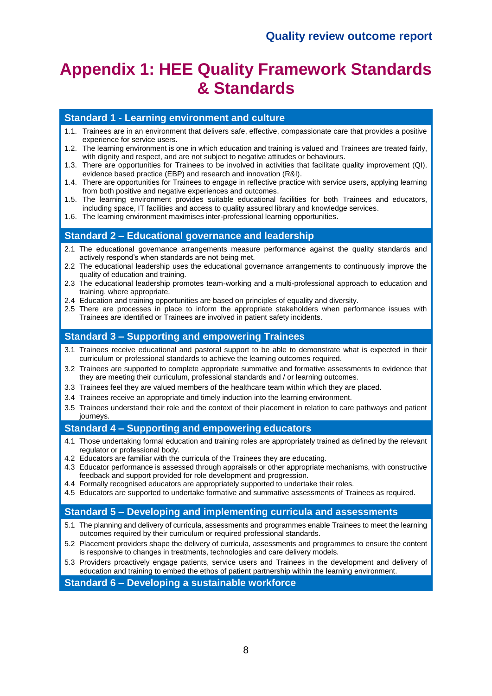## **Appendix 1: HEE Quality Framework Standards & Standards**

#### **Standard 1 - Learning environment and culture**

- 1.1. Trainees are in an environment that delivers safe, effective, compassionate care that provides a positive experience for service users.
- 1.2. The learning environment is one in which education and training is valued and Trainees are treated fairly, with dignity and respect, and are not subject to negative attitudes or behaviours.
- 1.3. There are opportunities for Trainees to be involved in activities that facilitate quality improvement (QI), evidence based practice (EBP) and research and innovation (R&I).
- 1.4. There are opportunities for Trainees to engage in reflective practice with service users, applying learning from both positive and negative experiences and outcomes.
- 1.5. The learning environment provides suitable educational facilities for both Trainees and educators, including space, IT facilities and access to quality assured library and knowledge services.
- 1.6. The learning environment maximises inter-professional learning opportunities.

#### **Standard 2 – Educational governance and leadership**

- 2.1 The educational governance arrangements measure performance against the quality standards and actively respond's when standards are not being met.
- 2.2 The educational leadership uses the educational governance arrangements to continuously improve the quality of education and training.
- 2.3 The educational leadership promotes team-working and a multi-professional approach to education and training, where appropriate.
- 2.4 Education and training opportunities are based on principles of equality and diversity.
- 2.5 There are processes in place to inform the appropriate stakeholders when performance issues with Trainees are identified or Trainees are involved in patient safety incidents.

#### **Standard 3 – Supporting and empowering Trainees**

- 3.1 Trainees receive educational and pastoral support to be able to demonstrate what is expected in their curriculum or professional standards to achieve the learning outcomes required.
- 3.2 Trainees are supported to complete appropriate summative and formative assessments to evidence that they are meeting their curriculum, professional standards and / or learning outcomes.
- 3.3 Trainees feel they are valued members of the healthcare team within which they are placed.
- 3.4 Trainees receive an appropriate and timely induction into the learning environment.
- 3.5 Trainees understand their role and the context of their placement in relation to care pathways and patient journeys.

#### **Standard 4 – Supporting and empowering educators**

- 4.1 Those undertaking formal education and training roles are appropriately trained as defined by the relevant regulator or professional body.
- 4.2 Educators are familiar with the curricula of the Trainees they are educating.
- 4.3 Educator performance is assessed through appraisals or other appropriate mechanisms, with constructive feedback and support provided for role development and progression.
- 4.4 Formally recognised educators are appropriately supported to undertake their roles.
- 4.5 Educators are supported to undertake formative and summative assessments of Trainees as required.

#### **Standard 5 – Developing and implementing curricula and assessments**

- 5.1 The planning and delivery of curricula, assessments and programmes enable Trainees to meet the learning outcomes required by their curriculum or required professional standards.
- 5.2 Placement providers shape the delivery of curricula, assessments and programmes to ensure the content is responsive to changes in treatments, technologies and care delivery models.
- 5.3 Providers proactively engage patients, service users and Trainees in the development and delivery of education and training to embed the ethos of patient partnership within the learning environment.

**Standard 6 – Developing a sustainable workforce**